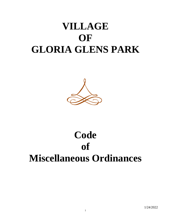# **VILLAGE OF GLORIA GLENS PARK**



# **Code of Miscellaneous Ordinances**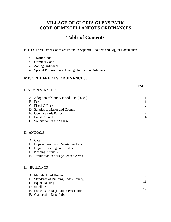# **VILLAGE OF GLORIA GLENS PARK CODE OF MISCELLANEOUS ORDINANCES**

# **Table of Contents**

NOTE: These Other Codes are Found in Separate Booklets and Digital Documents:

- Traffic Code
- Criminal Code
- Zoning Ordinance
- Special Purpose Flood Damage Reduction Ordinance

# **MISCELLANEOUS ORDINANCES:**

# I. ADMINISTRATION

| A. Adoption of County Flood Plan (06-04) |                             |
|------------------------------------------|-----------------------------|
| B. Fees                                  |                             |
| C. Fiscal Officer                        | $\mathcal{D}_{\cdot}$       |
| D. Salaries of Mayor and Council         | 2                           |
| E. Open Records Policy                   | $\mathcal{D}_{\mathcal{L}}$ |
| F. Legal Council                         | 4                           |
| G. Solicitation in the Village           | 5                           |

#### II. ANIMALS

| A. Cats                                |   |
|----------------------------------------|---|
| B. Dogs – Removal of Waste Products    | 8 |
| C. Dogs – Leashing and Control         | 8 |
| D. Keeping Animals                     | 8 |
| E. Prohibition in Village Fenced Areas |   |

#### III. BUILDINGS

| A. Manufactured Homes                  |                 |
|----------------------------------------|-----------------|
| B. Standards of Building Code (County) |                 |
| C. Equal Housing                       |                 |
| D. Satellites                          | 12 <sup>7</sup> |
| E. Foreclosure Registration Procedure  | 12 <sup>7</sup> |
| F. Clandestine Drug Labs               |                 |
|                                        |                 |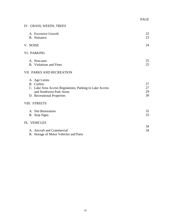# IV. GRASS, WEEDS, TREES

| A. Excessive Growth                                     | 22 |
|---------------------------------------------------------|----|
| B. Nuisance                                             | 23 |
| V. NOISE                                                | 24 |
| VI. PARKING                                             |    |
| A. Non-auto                                             | 25 |
| <b>B.</b> Violations and Fines                          | 25 |
| VII. PARKS AND RECREATION                               |    |
| A. Age Limits                                           |    |
| B. Curfew                                               | 27 |
| C. Lake Area Access Regulations; Parking in Lake Access | 27 |
| and Southwest Park Areas                                | 29 |
| D. Recreational Properties                              | 30 |
| VIII. STREETS                                           |    |
| A. Site Restoration                                     | 32 |
| B. Stop Signs                                           | 33 |
| IX. VEHICLES                                            |    |
|                                                         | 34 |
| A. Aircraft and Commercial                              | 34 |
| B. Storage of Motor Vehicles and Parts                  |    |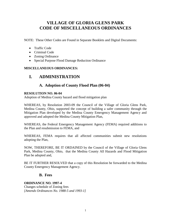# **VILLAGE OF GLORIA GLENS PARK CODE OF MISCELLANEOUS ORDINANCES**

NOTE: These Other Codes are Found in Separate Booklets and Digital Documents:

- Traffic Code
- Criminal Code
- Zoning Ordinance
- Special Purpose Flood Damage Reduction Ordinance

# **MISCELLANEOUS ORDINANCES:**

# **I. ADMINISTRATION**

# **A. Adoption of County Flood Plan (06-04)**

## **RESOLUTION NO. 06-04**

Adoption of Medina County hazard and flood mitigation plan

WHEREAS, by Resolution 2003-09 the Council of the Village of Gloria Glens Park, Medina County, Ohio, supported the concept of building a safer community through the Mitigation Plan developed by the Medina County Emergency Management Agency and approved and adopted the Medina County Mitigation Plan,

WHEREAS, the Federal Emergency Management Agency (FEMA) required additions to the Plan and resubmission to FEMA, and

WHEREAS, FEMA requires that all affected communities submit new resolutions adopting the Plan,

NOW, THEREFORE, BE IT ORDAINED by the Council of the Village of Gloria Glens Park, Medina County, Ohio, that the Medina County All Hazards and Flood Mitigation Plan be adopted and,

BE IT FURTHER RESOLVED that a copy of this Resolution be forwarded to the Medina County Emergency Management Agency.

# **B. Fees**

# **ORDINANCE NO. 1997-4**

Changes schedule of Zoning fees *[Amends Ordinances No. 1988-5 and 1993-1]*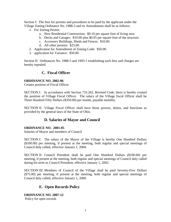Section I: The fees for permits and procedures to be paid by the applicant under the Village Zoning Ordinance No. 1988-3 and its Amendments shall be as follows:

- 1. For Zoning Permit:
	- a. New Residential Construction: \$0.10 per square foot of living area.
	- b. Decks and Garages: \$10.00 plus \$0.05 per square foot of the structure.
	- c. Accessory Buildings, Sheds and Fences: \$10.00.
	- d. All other permits: \$25.00.
- 2. Application for Amendment of Zoning Code: \$50.00.
- 3. application for Variance: \$50.00.

Section II: Ordinances No. 1988-5 and 1993-1 establishing such fees and charges are hereby repealed.

# **C. Fiscal Officer**

#### **ORDINANCE NO. 2002-06**

Creates position of Fiscal Officer

SECTION I. In accordance with Section 733.262, Revised Code, there is hereby created the position of Village Fiscal Officer. The salary of the Village fiscal Officer shall be Three Hundred Fifty Dollars (\$350.00) per month, payable monthly.

SECTION II. Village Fiscal Officer shall have those powers, duties, and functions as provided by the general laws of the State of Ohio.

# **D. Salaries of Mayor and Council**

#### **ORDINANCE NO. 2001-05**

Salaries of Mayor and members of Council

SECTION I: The salary of the Mayor of the Village is hereby One Hundred Dollars (\$100.00) per meeting, if present at the meeting, both regular and special meetings of Council duly called, effective January 1, 2004.

SECTION II: Council President shall be paid One Hundred Dollars (\$100.00) per meeting, if present at the meeting, both regular and special meetings of Council duly called during his term as Council President, effective January 1, 2002.

SECTION III: Members of Council of the Village shall be paid Seventy-Five Dollars (\$75.00) per meeting, if present at the meeting, both regular and special meetings of Council duly called, effective January 1, 2000.

# **E. Open Records Policy**

**ORDINANCE NO. 2007-12** Policy for open records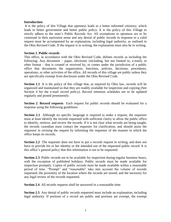#### **Introduction**:

It is the policy of this Village that openness leads to a better informed citizenry, which leads to better government and better public policy. It is the policy of this Village to strictly adhere to the state's Public Records Act. All exemptions to openness are to be construed in their narrowest sense and any denial of public records in response to a valid request must be accompanied by an explanation, including legal authority, as outlined in the Ohio Revised Code. If the request is in writing, the explanation must also be in writing.

#### **Section 1. Public records**

This office, in accordance with the Ohio Revised Code, defines records as including the following: Any document – paper, electronic (including, but not limited to, e-mail), or other format – that is created or received by, or comes under the jurisdiction of a public office that documents the organization, functions, policies, decisions, procedures, operations, or other activities of the office. All records of this village are public unless they are specifically exempt from disclosure under the Ohio Revised Code.

**Section 1.1** It is the policy of this village that, as required by Ohio law, records will be organized and maintained so that they are readily available for inspection and copying (See Section 4 for the e-mail record policy). Record retention schedules are to be updated regularly and posted prominently.

**Section 2**. **Record requests** Each request for public records should be evaluated for a response using the following guidelines:

**Section 2.1** Although no specific language is required to make a request, the requester must at least identify the records requested with sufficient clarity to allow the public office to identify, retrieve, and review the records. If it is not clear what records are being sought, the records custodian must contact the requester for clarification, and should assist the requestor in revising the request by informing the requestor of the manner in which the office keeps its records.

**Section 2.2** The requester does not have to put a records request in writing, and does not have to provide his or her identity or the intended use of the requested public record. It is this office's general policy that this information is not to be requested.

**Section 2.3** Public records are to be available for inspection during regular business hours, with the exception of published holidays. Public records must be made available for inspection promptly. Copies of public records must be made available within a reasonable period of time. "Prompt" and "reasonable" take into account the volume of records requested; the proximity of the location where the records are stored; and the necessity for any legal review of the records requested.

**Section 2.4** All records requests shall be answered in a reasonable time.

**Section 2.5** Any denial of public records requested must include an explanation, including legal authority. If portions of a record are public and portions are exempt, the exempt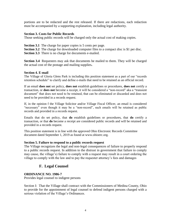portions are to be redacted and the rest released. If there are redactions, each redaction must be accompanied by a supporting explanation, including legal authority.

## **Section 3. Costs for Public Records**

Those seeking public records will be charged only the actual cost of making copies.

**Section 3.1** The charge for paper copies is 5 cents per page.

the actual cost of the postage and mailing supplies**.**

**Section 3.2** The charge for downloaded computer files to a compact disc is \$1 per disc. **Section 3.3** There is no charge for documents e-mailed.

**Section 3.4** Requesters may ask that documents be mailed to them. They will be charged

# **Section 4. E-mail**

The Village of Gloria Glens Park is including this position statement as a part of our "records retention schedule" to clarify and define e-mails that need to be retained as an official record.

If an email **does not** set policy, **does not** establish guidelines or procedures, **does not** certify a transaction, or **does not** become a receipt, it will be considered a "non-record" aka a "transient document" that does not need to be retained, that can be eliminated or discarded and does not need to be provided in a records request.

If, in the opinion f the Village Solicitor and/or Village Fiscal Officer, an email is considered "necessary" even though it may be a "non-record", such emails will be retained as public records and provided in a records request.

Emails that do set policy, that **do** establish guidelines or procedures, that **do** certify a transaction, or that **do** become a receipt are considered public records and will be retained and provided in a records request.

This position statement is in line with the approved Ohio Electronic Records Committee document dated September 1, 2019 as found at www.ohioerc.org.

#### **Section 5. Failure to respond to a public records request**

The Village recognizes the legal and non-legal consequences of failure to properly respond to a public records request. In addition to the distrust in government that failure to comply may cause, the village's) failure to comply with a request may result in a court ordering the village to comply with the law and to pay the requester attorney's fees and damages

# **F. Legal Counsel**

# **ORDINANCE NO. 1986-7**

Provides legal counsel to indigent persons

Section I: That the Village shall contract with the Commissioners of Medina County, Ohio to provide for the appointment of legal counsel to defend indigent persons charged with a serious violation of the Village's Ordinances.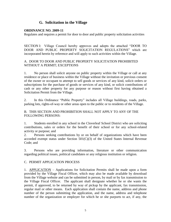# **G. Solicitation in the Village**

#### **ORDINANCE NO. 2009-11**

Regulates and requires a permit for door to door and public property solicitation activities

SECTION I: Village Council hereby approves and adopts the attached "DOOR TO DOOR AND PUBLIC PROPERTY SOLICITATION REGULATIONS" which are incorporated herein by reference and will apply to such activities within the Village.

## A. DOOR TO DOOR AND PUBLIC PROPERTY SOLICITATION PROHIBITED WITHOUT A PERMIT; EXCEPTIONS

1. No person shall solicit anyone on public property within the Village or call at any residence or place of business within the Village without the invitation or previous consent of the owner or occupant to attempt to sell goods or services of any kind, solicit orders or subscriptions for the purchase of goods or services of any kind, or solicit contributions of cash or any other property for any purpose or reason without first having obtained a Solicitation Permit from the Village.

2. In this Ordinance "Public Property" includes all Village buildings, roads, parks, parking lots, rights-of-way or other areas open to the public or to residents of the Village.

B. THIS SECTION AND PROHIBITION SHALL NOT APPLY TO ANY OF THE FOLLOWING PERSONS:

1. Students enrolled in any school in the Cloverleaf School District who are soliciting contributions, sales or orders for the benefit of their school or for any school-related activity or purpose; and

2. Persons seeking contributions by or on behalf of organizations which have been accorded exempt status under Section  $501(C)(3)$  of the United States Internal Revenue Code; and

3. Persons who are providing information, literature or other communication regarding political issues, political candidates or any religious institution or religion.

# C. PERMIT APPLICATION PROCESS

1. APPLICATION – Applications for Solicitation Permits shall be made upon a form provided by the Village Fiscal Officer, which may also be made available by download from the Village website and can be submitted in person, by mail or by fax transmission to the Village Fiscal Officer. The applicant shall designate whether he or she wants the permit, if approved, to be returned by way of pickup by the applicant, fax transmission, regular mail or other means. Each application shall contain the name, address and phone number of the person submitting the application, and the name, address and telephone number of the organization or employer for which he or she purports to act, if any, the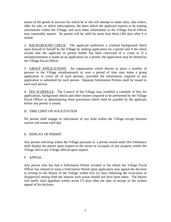nature of the goods or services for which he or she will attempt to make sales, take orders, offer for sale, or solicit subscriptions, the dates which the applicant expects to be making solicitations within the Village, and such other information as the Village Fiscal Officer may reasonably require. No permit will be valid for more than thirty (30) days after it is issued.

2. BACKGROUND CHECK. The applicant authorizes a criminal background check upon himself or herself by the Village by making application for a permit and if the check reveals that the applicant or permit holder has been convicted of a crime or if a misrepresentation is made on an application for a permit, the application may be denied by the Village Fiscal Officer.

3. GROUP APPLICATIONS. An organization which desires to place a number of persons in the Village simultaneously or over a period of time may make a group application to cover all of such persons, provided the information required in any application is submitted for each person. Separate Solicitation Permits shall be issued to each such person.

4. FEE SCHEDULE. The Council of the Village may establish a schedule of fees for applications, background checks and other matters required to be performed by the Village Fiscal Officer in administering these provisions which shall be payable by the applicant before any permit is issued.

# D. TIME LIMIT ON SOLICITATION

No person shall engage in solicitation of any kind within the Village except between sunrise and sunset each day.

# E. DISPLAY OF PERMIT.

Any person soliciting within the Village pursuant to a permit issued under this Ordinance shall display the permit upon request to the owner or occupant of any property within the Village and to any Village official upon request.

# F. APPEAL.

Any person who has had a Solicitation Permit revoked or for whom the Village Fiscal Officer has refused to issue a Solicitation Permit upon application may appeal the decision in writing to the Mayor of the Village within five (5) days following the revocation or disapproval setting forth the reasons such action should not have been taken. The Mayor will notify such appellant within seven (7) days after the date of receipt of the written appeal of his decision.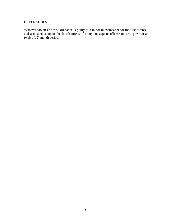# G. PENALTIES

Whoever violates of this Ordinance is guilty of a minor misdemeanor for the first offense and a misdemeanor of the fourth offense for any subsequent offense occurring within a twelve (12) month period.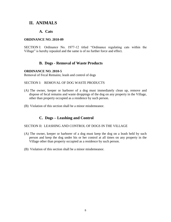# **II. ANIMALS**

# **A. Cats**

#### **ORDINANCE NO. 2010-09**

SECTION I: Ordinance No. 1977-12 titled "Ordinance regulating cats within the Village" is hereby repealed and the same is of no further force and effect.

# **B. Dogs - Removal of Waste Products**

#### **ORDINANCE NO. 2010-5**

Removal of Fecal Remains; leash and control of dogs

#### SECTION I: REMOVAL OF DOG WASTE PRODUCTS

- (A) The owner, keeper or harborer of a dog must immediately clean up, remove and dispose of fecal remains and waste droppings of the dog on any property in the Village, other than property occupied as a residence by such person.
- (B) Violation of this section shall be a minor misdemeanor.

# **C. Dogs – Leashing and Control**

#### SECTION II: LEASHING AND CONTROL OF DOGS IN THE VILLAGE

- (A) The owner, keeper or harborer of a dog must keep the dog on a leash held by such person and keep the dog under his or her control at all times on any property in the Village other than property occupied as a residence by such person.
- (B) Violation of this section shall be a minor misdemeanor.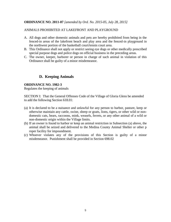#### **ORDINANCE NO. 2011-07** *[amended by Ord. No. 2015-05, July 28, 2015]*

## ANIMALS PROHIBITED AT LAKEFRONT AND PLAYGROUND

- A. All dogs and other domestic animals and pets are hereby prohibited from being in the fenced-in areas of the lakefront beach and play area and the fenced-in playground in the northwest portion of the basketball court/tennis court area.
- B. This Ordinance shall not apply or restrict seeing eye dogs or other medically prescribed special purpose dogs and police dogs on official business in the preceding areas.
- C. The owner, keeper, harborer or person in charge of such animal in violation of this Ordinance shall be guilty of a minor misdemeanor.

# **D. Keeping Animals**

#### **ORDINANCE NO. 1982-3**

Regulates the keeping of animals

SECTION I: That the General Offenses Code of the Village of Gloria Glens be amended to add the following Section 618.01:

- (a) It is declared to be a nuisance and unlawful for any person to harbor, pasture, keep or otherwise maintain any cattle, swine, sheep or goats, lions, tigers, or other wild or nondomestic cats, bears, raccoons, mink, weasels, ferrets, or any other animal of a wild or non-domestic origin within the Village limits.
- (b) If an owner is found to harbor or keep an animal restriction in Subsection (a) above, the animal shall be seized and delivered to the Medina County Animal Shelter or other p roper facility for impoundment.
- (c) Whoever violates any of the provisions of this Section is guilty of a minor misdemeanor. Punishment shall be provided in Section 698.02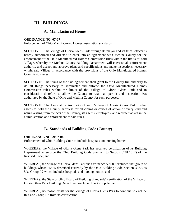# **III. BUILDINGS**

# **A. Manufactured Homes**

## **ORDINANCE NO. 07-07**

Enforcement of Ohio Manufactured Homes installation standards

SECTION 1: The Village of Gloria Glens Park through its mayor and its fiscal officer is hereby authorized and directed to enter into an agreement with Medina County for the enforcement of the Ohio Manufactured Homes Commission rules within the limits of said Village, whereby the Medina County Building Department will exercise all enforcement authority and accept and approve plans and specifications and make inspections necessary within said Village in accordance with the provisions of the Ohio Manufactured Homes Commission rules.

SECTION II: The terms of the said agreement shall grant to the County full authority to do all things necessary to administer and enforce the Ohio Manufactured Homes Commission rules within the limits of the Village of Gloria Glens Park and in consideration therefore to allow the County to retain all permit and inspection fees authorized by the State of Ohio and Medina County for such purposes.

SECTION III: The Legislature Authority of said Village of Gloria Glens Park further agrees to hold the County harmless for all claims or causes of action of every kind and nature arising from the acts of the County, its agents, employees, and representatives in the administration and enforcement of said rules.

# **B. Standards of Building Code (County)**

# **ORDINANCE NO. 2007-04**

Enforcement of Ohio Building Code to include hospitals and nursing homes

WHEREAS, the Village of Gloria Glens Park has received certification of its Building Department to enforce the Ohio Building Code pursuant to Section 3781.10(E) of the Revised Code; and

WHEREAS, the Village of Gloria Glens Park via Ordinance 509-00 excluded that group of buildings whose use is described currently by the Ohio Building Code Section 308.3 as Use Group I-2 which includes hospitals and nursing homes; and

WHEREAS, the State of Ohio Board of Building Standards' certification of the Village of Gloria Glens Park Building Department excluded Use Group I-2; and

WHEREAS, no reason exists for the Village of Gloria Glens Park to continue to exclude this Use Group I-2 from its certification.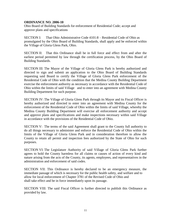#### **ORDINANCE NO. 2006-10**

Ohio Board of Building Standards for enforcement of Residential Code; accept and approve plans and specifications

SECTION I: That Ohio Administrative Code 4101:8 – Residential Code of Ohio as promulgated by the Ohio Board of Building Standards, shall apply and be enforced within the Village of Gloria Glens Park, Ohio.

SECTION II: That this Ordinance shall be in full force and effect from and after the earliest period permitted by law through the certification process, by the Ohio Board of Building Standards.

SECTION III: The Mayor of the Village of Gloria Glens Park is hereby authorized and directed to sign and submit an application to the Ohio Board of Building Standards requesting said Board to certify the Village of Gloria Glens Park enforcement of the Residential Code of Ohio with the condition that the Medina County Building Department exercise the enforcement authority as necessary in accordance with the Residential Code of Ohio within the limits of said Village and to enter into an agreement with Medina County Building Department for such purpose.

SECTION IV: The Village of Gloria Glens Park through its Mayor and its Fiscal Officer is hereby authorized and directed to enter into an agreement with Medina County for the enforcement of the Residential Code of Ohio within the limits of said Village, whereby the Medina County Building Department will exercise all enforcement authority and accept and approve plans and specifications and make inspections necessary within said Village in accordance with the provisions of the Residential Code of Ohio.

SECTION V: The terms of the said Agreement shall grant to the County full authority to do all things necessary to administer and enforce the Residential Code of Ohio within the limits of the Village of Gloria Glens Park and in consideration therefore to allow the County to retain all permit and inspection fees authorized by the State of Ohio for such purposes.

SECTION VI: The Legislature Authority of said Village of Gloria Glens Park further agrees to hold the County harmless for all claims or causes of action of every kind and nature arising from the acts of the County, its agents, employees, and representatives in the administration and enforcement of said codes.

SECTION VII: This Ordinance is hereby declared to be an emergency measure, the immediate passage of which is necessary for the public health safety, and welfare and to allow for local enforcement of Chapter 3781 of the Revised Code of Ohio and shall take effect and be in force immediately upon its passage.

SECTION VIII: The said Fiscal Officer is further directed to publish this Ordinance as provided by law.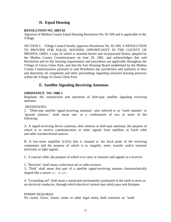# **D. Equal Housing**

#### **RESOLUTION NO. 2003-02**

Approval of Medina County Equal Housing Resolution No. 81-509 and is applicable in the Village.

SECTION I: Village Council hereby approves Resolution No. 81-509, A RESOLUTION TO PROVIDE FOR EQUAL HOUSING OPPORTUNITY IN THE COUNTY OF MEDINA, OHIO, a copy of which is attached hereto and incorporated herein, adopted by the Medina County Commissioners on June 29, 1981, and acknowledges that said Resolution and its fair housing requirements and procedures are applicable throughout the Village of Gloria Glens Park, and that the Fair Housing Board established by the Medina County Commissioners pursuant to said Resolution has jurisdiction and authority to hear and determine all complaints and other proceedings regarding unlawful housing practices within the Village of Gloria Glens Park.

# **E. Satellite Signaling Receiving Antennas**

## **ORDINANCE NO. 1986-1**

Regulates the construction and operation of dish-type satellite signaling receiving antennas.

DEFINITIONS:

1. "Dish-type satellite signal-receiving antennas" also referred to as "earth stations" or "ground stations," shall mean one, or a combination of two or more of the following:

A. A signal-receiving device (antenna, dish antenna or dish-type antenna), the purpose of which is to receive communication or other signals from satellites in Earth orbit and other extraterrestrial sources.

B. A low-noise amplifier (LNA) that is situated at 'the focal point of the receiving component and the purpose of which is to magnify, store; transfer and/or transmit electronic or light signals.

C. A coaxial cable, the purpose of which is to carry or transmit said signals to a receiver.

2. "Receiver" shall mean a television set or radio receiver.

3. "Dish" shall mean that part of a satellite signal-receiving antenna characteristically shaped like a saucer or dish.

4. "Grounding rod" shall mean a metal pole permanently positioned in the earth to serve as an electrical conductor, through which electrical current may safely pass and dissipate.

#### PERMIT REQUIRED:

No owner, lessor, lessee, renter or other legal entity shall construct an "earth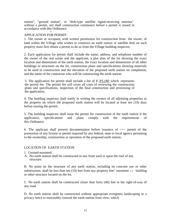station", "ground station", or "dish-type satellite signal-receiving antenna"· without a permit, nor shall construction commence before a permit is issued in accordance with this Ordinance. ,

## APPLICATION FOR PERMIT:

1. The owner or occupant, with written permission for construction from ·the owner, of land within the Village who wishes to construct an earth station or satellite dish on such property must first obtain a permit to do so from the Village building inspector.

2. Each application for permit shall include the name, address, and telephone number of the owner of the real estate and the applicant, a plot plan of the lot showing the exact location and dimensions of the earth station, the exact location and dimensions of all other buildings or structures on the lot, construction plans and specifications showing materials to be used in construction and the elevation of the proposed earth station on completion, and the name of the contractor who will be constructing the earth station.

3. The application for permit shall include a fee of *\$ 35,00* which ,represents the permit fee. The permit fee will cover all costs of reviewing the construction plans and specifications, inspection of the final construction and processing of the application.

4. The building inspector shall notify in writing the owners of all adjoining properties to the property on which the proposed earth station will be located at least ten (10) days before issuing the permit.

5. The building inspector shall issue the permit for construction of the earth station if the application, specifications and plans comply with the requirements of this Ordinance.

6. The applicant shall present documentation before issuance of  $\sim$  permit of the possession of any license or permit required by any federal, state or local agency pertaining to the ownership, construction or operation of the proposed earth station.

#### LOCATION OF EARTH STATION

- 1. Ground-mounted:
- A. No earth station shall be constructed in any front yard or upon the roof of any structure.

B. No point on the structure of any earth station, including its concrete use or other substructure, shall be less than ten (10) feet from any property line" easement  $\circ$  building or other structure located on the lot.

C. No earth station shall be constructed closer than forty (40) feet to the right-of-way of any road.

D. No earth station shall be constructed without appropriate evergreen landscaping or a privacy fence to reasonably conceal the earth station from view, which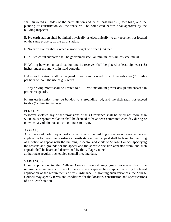shall surround all sides of the earth station and be at least three (3) feet high, and the planting or construction *o£* the fence will be completed before final approval by the building inspector.

E. No earth station shall be linked physically or electronically, to any receiver not located on the same property as the earth station.

F. No earth station shall exceed a grade height of fifteen (15) feet.

G. All structural supports shall be galvanized steel, aluminum, or stainless steel metal.

H. Wiring between an earth station and its receiver shall be placed at least eighteen (18) inches under ground within rigid conduit.

I. Any earth station shall be designed to withstand a wind force of seventy-five (75) miles per hour without the use of guy wires.

J. Any driving motor shall be limited to a 110 volt maximum power design and encased in protective guards.

K. An earth station must be bonded to a grounding rod, and the dish shall not exceed twelve (12) feet in diameter.

# PENALTY:

Whoever violates any of the provisions of this Ordinance shall be fined not more than \$250.00. A separate violation shall be deemed to have been committed each day during or on which a violation occurs or continues to occur.

# APPEALS:

Any interested party may appeal any decision of the building inspector with respect to any application for permit to construct an earth station. Such appeal shall be taken by the filing of a notice of appeal with the building inspector and clerk of Village Council specifying the reasons and grounds for the appeal and the specific decision appealed from, and such appeals shall be heard and determined by the Village Council at their next regularly scheduled council meeting date.

# VARIANCES:

Upon application to the Village Council, council may grant variances from the requirements and terms of this Ordinance where a special hardship is created by the literal application of the requirements of this Ordinance. In granting such variances, the Village Council may specify terms and conditions for the location, construction and specifications of the earth station.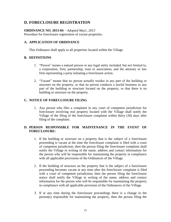# **D. FORECLOSURE REGISTRATION**

# **ORDINANCE NO. 2013-04** - *Adopted May1, 2013*

Procedure for foreclosure registration of vacant properties.

# **A. APPLICATION OF ORDINANCE**

This Ordinance shall apply to all properties located within the Village.

# **B. DEFINITIONS**

- 1. "Person" means a natural person or any legal entity included, but not limited to, a corporation, firm, partnership, trust or association, and the attorney or law firm representing a party initiating a foreclosure action.
- 2. "Vacant" means that no person actually resides in any part of the building or structure on the property, or that no person conducts a lawful business in any part of the building or structure located on the property, or that there is no building or structure on the property.

# **C. NOTICE OF FORECLOSURE FILING**

1. Any person who files a complaint in any court of competent jurisdiction for foreclosure involving real property located with the Village shall notify the Village of the filing of the foreclosure complaint within thirty (30) days after filing of the complaint.

# **D. PERSON RESPONSIBLE FOR MAINTENANCE IN THE EVENT OF FORECLOSURE:**

- 1. If the building or structure on a property that is the subject of a foreclosure proceeding is vacant at the time the foreclosure complaint is filed with a court of competent jurisdiction, then the person filing the foreclosure complaint shall notify the Village in writing of the name, address and contact information for the person who will be responsible for maintaining the property in compliance with all applicable provisions of the Ordinances of the Village.
- 2. If the building of structure on the property that is the subject of a foreclosure proceeding becomes vacant at any time after the foreclosure complaint is filed with a court of competent jurisdiction, then the person filing the foreclosure notice shall notify the Village in writing of the name, address and contact information for the person who will be responsible for maintaining the property in compliance with all applicable provision of the Ordinances of the Village.
- 3. If at any time during the foreclosure proceedings there is a change in the person(s) responsible for maintaining the property, then the person filing the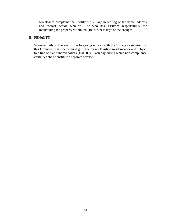foreclosure complaint shall notify the Village in writing of the name, address and contact person who will, or who has, assumed responsibility for maintaining the property within ten (10) business days of the changes.

# **E. PENALTY**

Whoever fails to file any of the foregoing notices with the Village as required by this Ordinance shall be deemed guilty of an unclassified misdemeanor and subject to a fine of five hundred dollars (\$500.00). Each day during which non-compliance continues shall constitute a separate offense.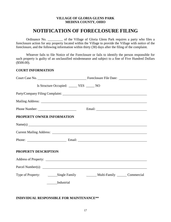#### **VILLAGE OF GLORIA GLENS PARK MEDINA COUNTY, OHIO**

# **NOTIFICATION OF FORECLOSURE FILING**

Ordinance No. \_\_\_\_\_\_\_\_\_ of the Village of Gloria Glens Park requires a party who files a foreclosure action for any property located within the Village to provide the Village with notice of the foreclosure, and the following information within thirty (30) days after the filing of the complaint.

Whoever fails to file Notice of the Foreclosure or fails to identify the person responsible for such property is guilty of an unclassified misdemeanor and subject to a fine of Five Hundred Dollars (\$500.00).

#### **COURT INFORMATION**

|                            | Is Structure Occupied: _______ YES ______ NO |                             |
|----------------------------|----------------------------------------------|-----------------------------|
|                            |                                              |                             |
|                            |                                              |                             |
|                            |                                              |                             |
| PROPERTY OWNER INFORMATION |                                              |                             |
|                            |                                              | Name(s)                     |
|                            |                                              |                             |
|                            |                                              | Phone: Email: Email: Email: |
| PROPERTY DESCRIPTION       |                                              |                             |
|                            |                                              |                             |
|                            |                                              |                             |
|                            |                                              |                             |
|                            | Industrial                                   |                             |

# **INDIVIDUAL RESPONSIBLE FOR MAINTENANCE\*\***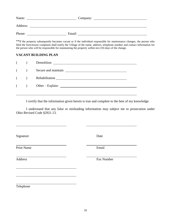| Name:    | Company: |  |
|----------|----------|--|
| Address: |          |  |
| Phone:   | Email:   |  |

\*\*If the property subsequently becomes vacant or if the individual responsible for maintenance changes, the person who filed the foreclosure complaint shall notify the Village of the name, address, telephone number and contact information for the person who will be responsible for maintaining the property within ten (10) days of the change.

# **VACANT BUILDING PLAN**

| $($ $)$ | Demolition              |
|---------|-------------------------|
|         | ( ) Secure and maintain |
|         |                         |
|         | $(\ )$ Other – Explain: |
|         |                         |

I certify that the information given herein is true and complete to the best of my knowledge.

I understand that any false or misleading information may subject me to prosecution under Ohio Revised Code §2921.13.

Signature Date

Print Name Email

Address Fax Number

Telephone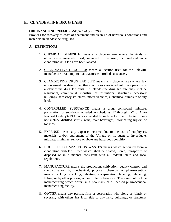# **E. CLANDESTINE DRUG LABS**

#### **ORDINANCE NO. 2013-05 -** *Adopted May 1, 2013*

Provides for recovery of costs of abatement and clean-up of hazardous conditions and materials in clandestine drug labs.

# **A. DEFINITIONS**

- 1. CHEMICAL DUMPSITE means any place or area where chemicals or other waste materials used, intended to be used, or produced in a clandestine drug lab have been located.
- 2. CLANDESTINE DRUG LAB means a location used for the unlawful manufacture or attempt to manufacture controlled substances.
- 3. CLANDESTINE DRUG LAB SITE means any place or area where law enforcement has determined that conditions associated with the operation of a clandestine drug lab exist. A clandestine drug lab site may include residential, commercial, industrial or institutional structures, accessory buildings, accessory structures, motor vehicles, a chemical dumpsite or any land.
- 4. CONTROLLED SUBSTANCE means a drug, compound, mixture, preparation, or substance included in schedules "I" through "V" of Ohio Revised Code §3719.41 or as amended from time to time. The term does not include distilled spirits, wine, malt beverages, intoxicating liquors or tobacco.
- 5. EXPENSE means any expense incurred due to the use of employees, materials, and/or equipment of the Village or its agent to investigate, mitigate, minimize, remove or abate any hazardous condition.
- 6. HOUSEHOLD HAZARDOUS WASTES means waste generated from a clandestine drub lab. Such wastes shall be treated, stored, transported or disposed of in a manner consistent with all federal, state and local regulations.
- 7. MANUFACTURE means the production, cultivation, quality control, and standardization, by mechanical, physical, chemical or pharmaceutical means, packing repacking, tableting, encapsulation, labeling, relabeling, filling, or by other process, of controlled substances. This does not include manufacturing which occurs in a pharmacy or a licensed pharmaceutical manufacturing facility.
- 8. OWNER means any person, firm or corporation who along or jointly or severally with others has legal title to any land, buildings, or structures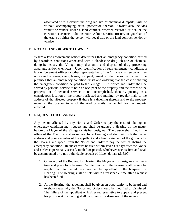associated with a clandestine drug lab site or chemical dumpsite, with or without accompanying actual possession thereof. Owner also includes vendor or vendee under a land contract, whether recorded or not, or the executor, executrix, administrator, Administratrix, trustee, or guardian of the estate of either the person with legal title or the land contract vendor or vendee.

## **B. NOTICE AND ORDER TO OWNER**

Where a law enforcement officer determines that an emergency condition caused by hazardous conditions associated with a clandestine drug lab site or chemical dumpsite exists, the Village may dismantle and dispose of drug processing apparatus and/or chemicals. Upon identification of such emergency condition, a law enforcement officer or other representative of the Village shall serve written notice to the owner, agent, lessee, occupant, tenant or other person in charge of the premises that an emergency condition exists and ordering that the cost of abating the emergency condition be paid to the Village. The Notice and Order shall be served by personal service to both an occupant of the property and the owner of the property, or if personal service is not accomplished, then by posting in a conspicuous location at the property affected and mailing, by regular mail, to the address of the affected property if there is a dwelling thereon and to the property owner at the location to which the Auditor mails the tax bill for the property affected.

# **C. REQUEST FOR HEARING**

Any person affected by any Notice and Order to pay the cost of abating an emergency condition may request and shall be granted a Hearing on the matter before the Mayor of the Village or his/her designee. The person shall file, in the office of the Mayor a written request for a Hearing and shall set forth the name, address and phone number of the appellant and a brief statement of the grounds for the Hearing and appeal from the Notice and Order to pay the cost of abating the emergency condition. Requests must be filed within seven (7) days after the Notice and Order is personally served, mailed or posted, whichever occurs first and shall be accompanied by a non-refundable deposit of fifteen dollars (\$15.00).

- 1. On receipt of the Request for Hearing, the Mayor or his designee shall set a time and place for a hearing. Written notice of the hearing shall be sent by regular mail to the address provided by appellant in the **Request for**  Hearing. The Hearing shall be held within a reasonable time after a request has been filed.
- 2. At the Hearing, the appellant shall be given an opportunity to be heard and to show cause why the Notice and Order should be modified or dismissed. The failure of the appellant or his/her representative to appear and present his position at the hearing shall be grounds for dismissal of the request.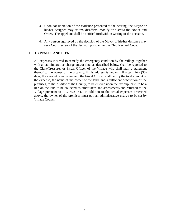- 3. Upon consideration of the evidence presented at the hearing, the Mayor or his/her designee may affirm, disaffirm, modify or dismiss the Notice and Order. The appellant shall be notified forthwith in writing of the decision.
- 4. Any person aggrieved by the decision of the Mayor of his/her designee may seek Court review of the decision pursuant to the Ohio Revised Code.

#### **D. EXPENSES AND LIEN**

All expenses incurred to remedy the emergency condition by the Village together with an administrative charge and/or fine, as described below, shall be reported to the Clerk/Treasurer or Fiscal Officer of the Village who shall mail a statement thereof to the owner of the property, if his address is known. If after thirty (30) days, the amount remains unpaid, the Fiscal Officer shall certify the total amount of the expense, the name of the owner of the land, and a sufficient description of the premises, to the Auditor of the County, to be entered upon the tax duplicate, to be a lien on the land to be collected as other taxes and assessments and returned to the Village pursuant to R.C. §731.54. In addition to the actual expenses described above, the owner of the premises must pay an administrative charge to be set by Village Council.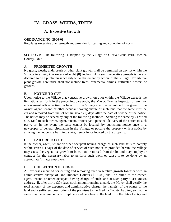# **IV. GRASS, WEEDS, TREES**

# **A. Excessive Growth**

# **ORDINANCE NO. 2000-08**

Regulates excessive plant growth and provides for cutting and collection of costs

SECTION I: The following is adopted by the Village of Gloria Glens Park, Medina County, Ohio:

# A. **PROHIBITED GROWTH**

No grass, weeds, underbrush or other plant growth shall be permitted on any lot within the Village in a height in excess of eight (8) inches. Any such vegetative growth is hereby declared to be a public nuisance subject to abatement by action of the Village. Prohibitive plant growth hereunder shall not include trees, ornamental shrubs, cultivated flowers or gardens.

# B. **NOTICE TO CUT**

Upon notice to the Village that vegetative growth on a lot within the Village exceeds the limitations set forth in the preceding paragraph, the Mayor, Zoning Inspector or any law enforcement officer acting on behalf of the Village shall cause notice to be given to the owner, agent, tenant, or other occupant having charge of such land that the same must be cut and removed from the lot within seven (7) days after the date of service of the notice. The notice may be served by any of the following methods: Sending the same by Certified U.S. Mail to such owner, agent, tenant, or occupant, personal delivery of the notice to such party, or, in the event the party cannot be located, by publishing notice once in a newspaper of general circulation in the Village, or posting the property with a notice by affixing the notice to a building, stake, tree or fence located on the property.

# C. **FAILURE TO CUT**

If the owner, agent, tenant or other occupant having charge of such land fails to comply within seven (7) days of the date of service of such notice as provided herein, the Village may cause the vegetative growth to be cut and removed from the lot and may employ or contract for the necessary labor to perform such work or cause it to be done by an appropriate Village employee.

# D. **COLLECTION OF COSTS**

All expenses incurred for cutting and removing such vegetative growth together with an administrative charge of One Hundred Dollars (\$100.00) shall be billed to the owner, agent, tenant, or other occupant having charge of such land at such party's last known address. If, after thirty (30) days, such amount remains unpaid, the Mayor shall certify the total amount of the expenses and administrative charge, the name(s) of the owner of the land and a sufficient description of the premises to the Medina County Auditor, so that the same may be entered on a tax duplicate and be a lien on the land from the date of entry and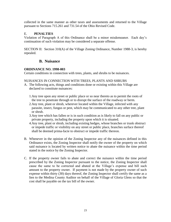collected in the same manner as other taxes and assessments and returned to the Village pursuant to Sections 715.261 and 731.54 of the Ohio Revised Code.

# E. **PENALTIES**

Violation of Paragraph A of this Ordinance shall be a minor misdemeanor. Each day's continuation of such violation may be considered a separate offense.

SECTION II: Section 310(A) of the Village Zoning Ordinance, Number 1988-3, is hereby repealed.

# **B. Nuisance**

# **ORDINANCE NO. 1998-003**

Certain conditions in connection with trees, plants, and shrubs to be nuisances.

## NUISANCES IN CONNECTION WITH TREES, PLANTS AND SHRUBS

- A. The following acts, things and conditions done or existing within this Village are declared to constitute nuisances:
	- 1.Any tree upon any street or public place or so near thereto as to permit the roots of the tree to penetrate through or to disrupt the surface of the roadway or berm.
	- 2.Any tree, plant or shrub, wherever located within the Village, infected with any parasite, insect, fungus or pest, which may be communicated to any other tree, plant or shrub.
	- 3.Any tree which has fallen or is in such condition as is likely to fall on any public or private property, including the property upon which it is situated.
	- 4.Any tree, plant or shrub, including existing hedges, whose branches or trunk obstruct or impede traffic or visibility on any street or public place, branches surface thereof shall be deemed prima-facie to obstruct or impede traffic thereon.
- B. Whenever in the opinion of the Zoning Inspector any of the nuisances defined in this Ordinance exists, the Zoning Inspector shall notify the owner of the property on which said nuisance is located by written notice to abate the nuisance within the time period stated in the notice by the Zoning Inspector.
- C. If the property owner fails to abate and correct the nuisance within the time period prescribed by the Zoning Inspector pursuant to the notice, the Zoning Inspector shall cause the same to be corrected and abated at the Village's expense and bill such amount to the property owner. If payment is not made by the property owner of such expense within thirty (30) days thereof, the Zoning Inspector shall certify the same as a lien to the Medina County Auditor on behalf of the Village of Gloria Glens so that the cost shall be payable on the tax bill of the owner.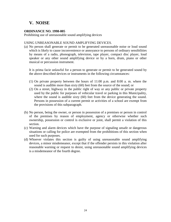# **V. NOISE**

## **ORDINANCE NO. 1998-005**

Prohibiting use of unreasonable sound amplifying devices

#### USING UNREASONABLE SOUND AMPLIFYING DEVICES.

(a) No person shall generate or permit to be generated unreasonable noise or loud sound which is likely to cause inconvenience or annoyance to persons of ordinary sensibilities by means of a radio, phonograph, television, tape player, compact disc player, loud speaker or any other sound amplifying device or by a horn, drum, piano or other musical or percussion instrument.

It is prima facie unlawful for a person to generate or permit to be generated sound by the above described devices or instruments in the following circumstances:

- (1) On private property between the hours of 11:00 p.m. and 8:00 a. m. where the sound is audible more than sixty (60) feet from the source of the sound; or
- (2) On a street, highway in the public right of way or any public or private property used by the public for purposes of vehicular travel or parking in this Municipality, where the sound is audible sixty (60) feet from the device generating the sound. Persons in possession of a current permit or activities of a school are exempt from the provisions of this subparagraph.
- (b) No person, being the owner, or person in possession of a premises or person in control of the premises by reason of employment, agency or otherwise whether such ownership, possession or control is exclusive or joint, shall permit a violation of this section.
- (c) Warning and alarm devices which have the purpose of signaling unsafe or dangerous situations or calling for police are exempted from the prohibitions of this section when used for such purposes.
- (d) Whoever violates this section is guilty of using unreasonable sound amplifying devices, a minor misdemeanor, except that if the offender persists in this violation after reasonable warning or request to desist, using unreasonable sound amplifying devices is a misdemeanor of the fourth degree.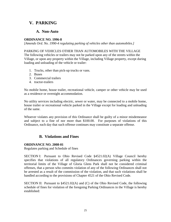# **V. PARKING**

# **A. Non-Auto**

# **ORDINANCE NO. 1996-8**

*[Amends Ord. No. 1990-4 regulating parking of vehicles other than automobiles.]*

## PARKING OF VEHICLES OTHER THAN AUTOMOBILES WITH THE VILLAGE

The following vehicles or trailers may not be parked upon any of the streets within the Village, or upon any property within the Village, including Village property, except during loading and unloading of the vehicle or trailer:

- 1. Trucks, other than pick-up trucks or vans.
- 2. Buses
- 3. Commercial trailers
- 4. tractor-trailers

No mobile home, house trailer, recreational vehicle, camper or other vehicle may be used as a residence or overnight accommodation.

No utility services including electric, sewer or water, may be connected to a mobile home, house trailer or recreational vehicle parked in the Village except for loading and unloading of the same.

Whoever violates any provision of this Ordinance shall be guilty of a minor misdemeanor and subject to a fine of nor more than \$100.00. For purposes of violations of this Ordinance, each day that such offense continues may constitute a separate offense.

# **B. Violations and Fines**

# **ORDINANCE NO. 2008-01**

Regulates parking and Schedule of fines

SECTION I: Pursuant to Ohio Revised Code §4521.02(A) Village Council hereby specifies that violations of all regulatory Ordinances governing parking within the territorial limits of the Village of Gloria Glens Park shall not be considered criminal offenses, that a person who commits violation of any of the following Ordinances shall not be arrested as a result of the commission of the violation, and that such violations shall be handled according to the provisions of Chapter 4521 of the Ohio Revised Code.

SECTION II: Pursuant to §4521.02(A) and (C) of the Ohio Revised Code, the following schedule of fines for violation of the foregoing Parking Ordinances in the Village is hereby established: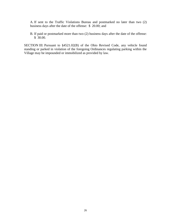A. If sent to the Traffic Violations Bureau and postmarked no later than two (2) business days after the date of the offense: \$ 20.00; and

B. If paid or postmarked more than two (2) business days after the date of the offense: \$ 30.00.

SECTION III: Pursuant to §4521.02(B) of the Ohio Revised Code, any vehicle found standing or parked in violation of the foregoing Ordinances regulating parking within the Village may be impounded or immobilized as provided by law.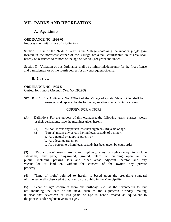# **VII. PARKS AND RECREATION**

# **A. Age Limits**

## **ORDINANCE NO. 1996-06**

Imposes age limit for use of Kiddie Park

Section I: Use of the "Kiddie Park" in the Village containing the wooden jungle gym located in the northwest corner of the Village basketball court/tennis court area shall hereby be restricted to minors of the age of twelve (12) years and under.

Section II: Violation of this Ordinance shall be a minor misdemeanor for the first offense and a misdemeanor of the fourth degree for any subsequent offense.

# **B. Curfew**

## **ORDINANCE NO. 1995-5**

Curfew for minors *[Amends Ord. No. 1982-5]*

SECTION 1: That Ordinance No. 1982-5 of the Village of Gloria Glens, Ohio, shall be amended and replaced by the following, relative to establishing a curfew:

# CURFEW FOR MINORS

- (A) Definitions For the purpose of this ordinance, the following terms, phrases, words or their derivations, have the meanings given herein:
	- (1) "Minor" means any person less than eighteen (18) years of age.
	- (2) "Parent" means any person having legal custody of a minor;
		- a. As a natural or adoptive parent, or
		- b. As a legal guardian, or
		- c. As a person to whom legal custody has been given by court order.

(3) "Public place" means any street, highway, alley or right-of-way, to include sidewalks; any park, playground, ground, place or building open to the public, including parking lots and other areas adjacent thereto; and any vacant lot or land or, without the consent of the owner, any private property.

(4) "Time of night" referred to herein, is based upon the prevailing standard of time, generally observed at that hour by the public in the Municipality.

(5) "Year of age" continues from one birthday, such as the seventeenth to, but not including the date of the next, such as the eighteenth birthday, making it clear that seventeen or less years of age is herein treated as equivalent to the phrase "under eighteen years of age".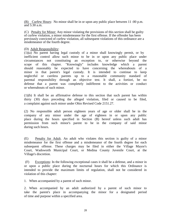(B) Curfew Hours: No minor shall be in or upon any public place between 11 :00 p.m. and 5:30 a.m.

(C) Penalty for Minor: Any minor violating the provisions of this section shall be guilty of curfew violation, a minor misdemeanor for the first offense. If the offender has been previously convicted of curfew violation, all subsequent violations of this ordinance are a misdemeanor of the fourth degree.

#### (D) Adult Responsibility:

(1)(a) No parent having legal custody of a minor shall knowingly permit, or by . inefficient control allow such minor to be in or upon any public place under circumstances not constituting an exception to, or otherwise beyond the scope of this chapter. "Knowingly" includes knowledge which a parent should reasonably be expected to have concerning the whereabouts of a minor in that parent's legal custody. It is intended to continue to keep neglectful or careless parents up to a reasonable community standard of parental responsibility through an objective test. It shall, a fortiori, be no defense that a parent was completely indifferent to the activities or conduct or whereabouts of such minor.

(1)(b) It shall be an affirmative defense to this section that such parent has within thirty (30) days preceding the alleged violation, filed or caused to be filed, a complaint against such minor under Ohio Revised Code 2151.27.

(2) No responsible adult person eighteen years of age or older shall be in the company of any minor under the age of eighteen in or upon any public place during the hours specified in Section (B) hereof unless such adult has permission from such minor's parent to be in the company of said minor during such hours.

(E) Penalty for Adult. An adult who violates this section is guilty of a minor misdemeanor for the first offense and a misdemeanor of the fourth degree for each subsequent offense. These charges may be filed in either the Village Mayor's Court, Wadsworth Municipal Court, or Medina County Juvenile Court, at the Village's discretion.

(F) Exceptions: In the following exceptional cases it shall be a defense, and a minor in or upon a public place during the nocturnal hours for which this Ordinance is intended to provide the maximum limits of regulation, shall not be considered in violation of this chapter:

1. When accompanied by a parent of such minor.

2. When accompanied by an adult authorized by a parent of such minor to take the parent's place in accompanying the minor for a designated period of time and purpose within a specified area.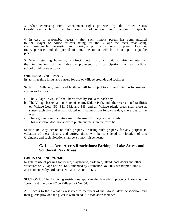3. When exercising First Amendment rights protected by the United States Constitution, such as the free exercise of religion and freedom of speech.

4. In case of reasonable necessity after such minor's parent has communicated to the Mayor or police officers acting for the Village the facts establishing such reasonable necessity and designating the minor's proposed location, route, purpose, and the period of time the minor will be in or upon a public place.

5. When returning home by a direct route from, and within thirty minutes of, the termination of verifiable employment or participation in an official school or religious activity.

#### **ORDINANCE NO. 1996-12**

Establishes time limits and curfew for use of Village grounds and facilities

Section I: Village grounds and facilities will be subject to a time limitation for use and curfew as follows:

- a. The Village Town Hall shall be vacated by 1:00 a.m. each day.
- b. The Village basketball court, tennis court, Kiddie Park, and other recreational facilities on Village Lots NO. 381, 382, and 383, and all Village picnic areas shall close at sunset each day and remain closed until dawn of the following day, every day of the wee.
- c. These grounds and facilities are for the use of Village residents only. This restriction does not apply to public meetings in the town hall.

Section II: Any person on such property or using such property for any purpose in violation of these closing and curfew times will be considered in violation of this Ordinance and such violation shall be a minor misdemeanor.

# **C. Lake Area Access Restrictions; Parking in Lake Access and Southwest Park Areas**

#### **ORDINANCE NO. 2009-09**

Regulates use of parking lot, beach, playground, park area, island, boat docks and other structures on Village Lot No. 643, amended by Ordinance No. 2014-09 adopted June 4, 2014, amended by Ordinance No. 2017-04 on 11/1/17.

SECTION I: The following restrictions apply to the fenced-off property known as the "beach and playground" on Village Lot No. 643:

A. Access to these areas is restricted to members of the Gloria Glens Association and their guests provided the guest is with an adult Association member.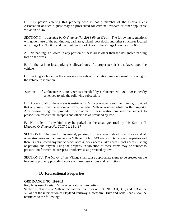B. Any person entering this property who is not a member of the Gloria Glens Association or such a guest may be prosecuted for criminal trespass or other applicable violation of law.

SECTION II: [*Amended by Ordinance No. 2014-09 on 6/4/14*] The following regulations will govern use of the parking lot, park area, island, boat docks and other structures located on Village Lot No. 643 and the Southwest Park Area of the Village known as Lot 646:

A. No parking is allowed in any portion of these areas other than the designated parking lots on the areas.

B. In the parking lots, parking is allowed only if a proper permit is displayed upon the vehicle.

C. Parking violators on the areas may be subject to citation, impoundment, or towing of the vehicle in violation.

Section II of Ordinance No. 2009-09 as amended by Ordinance No. 2014-09 is hereby amended to add the following subsection:

D. Access to all of these areas is restricted to Village residents and their guests, provided that any guest must be accompanied by an adult Village resident while on the property. Any person using this property in violation of these restrictions may be subject to prosecution for criminal trespass and otherwise as provided by law.

E. No trailers of any kind may be parked on the areas governed by this Section II. [*Adopted Ordinance No. 2017-04, 11/1/17*]

SECTION III: The beach, playground, parking lot, park area, island, boat docks and all other structures and landmasses on Village Lot No. 643 are restricted access properties and there is not allowed any public beach access, dock access, lake access, boat access, fishing or parking and anyone using the property in violation of these terms may be subject to prosecution for criminal trespass or otherwise as provided by law.

SECTION IV: The Mayor of the Village shall cause appropriate signs to be erected on the foregoing property providing notice of these restrictions and restrictions.

# **D. Recreational Properties**

# **ORDINANCE NO. 1996-11**

Regulates use of certain Village recreational properties

Section I: The use of Village recreational facilities on Lots NO. 381, 382, and 383 in the Village at the intersection of Playland Parkway, Dawnshire Drive and Lake Roads, shall be restricted to the following: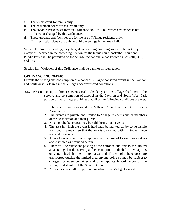- a. The tennis court for tennis only
- b. The basketball court for basketball only.
- c. The "Kiddie Park: as set forth in Ordinance No. 1996-06, which Ordinance is not affected or changed by this Ordinance.
- d. These grounds and facilities are for the use of Village residents only. This restriction does not apply to public meetings in the town hall.

Section II: No rollerblading, bicycling, skateboarding, loitering, or any other activity except as specified in the preceding Section for the tennis court, basketball court and Kiddie Park shall be permitted on the Village recreational areas known as Lots 381, 382, and 383.

Section III: Violation of this Ordinance shall be a minor misdemeanor.

## **ORDINANCE NO. 2017-05**

Permits the serving and consumption of alcohol at Village-sponsored events in the Pavilion and Southwest Park area in the Village under restricted conditions.

- SECTION I: For up to three (3) events each calendar year, the Village shall permit the serving and consumption of alcohol in the Pavilion and South West Park portion of the Village providing that all of the following conditions are met:
	- 1. The events are sponsored by Village Council or the Gloria Glens Association.
	- 2. The events are private and limited to Village residents and/or members of the Association and their guests.
	- 3. No alcoholic beverages may be sold during such events.
	- 4. The area in which the event is held shall be marked off by some visible and adequate means so that the area is contained with limited entrance and exit locations.
	- 5. Alcohol serving and consumption shall be limited to such area set up and restricted as provided herein.
	- 6. There will be sufficient posting at the entrance and exit to the limited area stating that the serving and consumption of alcoholic beverages is only permitted in the limited area and if alcoholic beverages are transported outside the limited area anyone doing so may be subject to charges for open container and other applicable ordinances of the Village and statutes of the State of Ohio.
	- 7. All such events will be approved in advance by Village Council.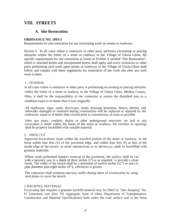# **VIII. STREETS**

# **A. Site Restoration**

## **ORDINANCE NO. 1993-5**

Requirements for site restoration for any excavating work on streets or roadways

Section I: In all cases where a contractor or other party performs excavating or placing obstacles within the limits of a street or roadway in the Village of Gloria Glens, the specific requirements for site restoration as listed on Exhibit A entitled "Site Restoration", which is attached hereto and incorporated herein shall apply and every contractor or other party performing such work upon streets or roadways in the Village of Gloria Glens shall follow and comply with these regulations for restoration of the work site after any such work is done.

## 1 . GENERAL

In all cases where a contractor or other party is performing excavating or placing obstacles within the limits of a street or roadway in the Village of Gloria Glens, Medina County, Ohio, it shall be the responsibility of the contractor to restore the disturbed area to a condition equal to or better than it was originally.

All mailboxes, signs, yards, driveways, roads, drainage structures, fences, ditches, and sidewalks damaged or removed during construction will be replaced or repaired by the contractor, equal to or better than existed prior to construction, as soon as possible.

After any pipes, conduits, drains or other underground structures are laid or any excavation is made within the limits of the street or roadway, the trenches or openings shall be properly backfilled with suitable material.

#### 2. OPEN CUT

Approved excavations made within the traveled portion of the street or roadway, in the berm within four feet (4') of the pavement edge, and within four feet (4') or less of the inside edge of the trench, in street intersections or in driveways, shall be backfilled with granular materials.

Where work performed requires removal of the pavement, the surface shall be cut with a masonry saw to a depth of three inches  $(3<sup>n</sup>)$  or as required ~o provide a clean break. The width of the trench shall be a minimum of twelve inches (12") or one (1) pipe diameter plus eight inches (8"), whichever is greater.

The contractor shall maintain one-way traffic during times of construction by using steel plates to cover the trench.

#### 3. BACKFILL MATERIAL

Excavating that requires a granular backfill material may be filled by "free dumping" No. 67 Limestone (see Item 703 Aggregate, State of Ohio, Department of Transportation, Construction and Material Specifications) both under the road surface and in the berm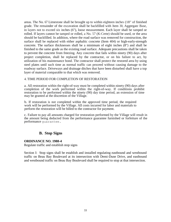areas. The No. 67 Limestone shall be brought up to within eighteen inches (18" of finished grade. The remainder of the excavation shall be backfilled with Item 30, Aggregate Base, in layers not to exceed six inches (6"), loose measurement. Each layer shall be tamped or rolled. If layers cannot be tamped or rolled, a No. 57 (K-Crete) should be used, or the area should be backfilled. In addition, where the road surface was removed for construction, the surface shall be replaced with either asphaltic concrete (Item 404) or high-early-strength concrete. The surface thicknesses shall be a minimum of eight inches (8") and shall be finished to the same grade as the existing road surface. Adequate precautions shall be taken to prevent the concrete from freezing. Any concrete that fails within ninety (90) days after project completion, shall be replaced by the contractor, or on his failure to act, by utilization of his maintenance bond. The contractor shall protect the restored area by using steel plates until such time as normal traffic can proceed without causing damage to the roadway surface. Driveways and drainage ditches that have been disturbed shall have a top layer of material comparable to that which was removed.

#### 4. TIME PERIOD FOR COMPLETION OF RESTORATION

a. All restoration within the right-of-way must be completed within ninety (90) days after completion of the work performed within the right-of-way. If conditions prohibit restoration to be performed within the ninety (90) day time period, an extension of time may be granted at the discretion of the Village.

b. If restoration is not completed within the approved time period, the required work will be performed by the Village. All costs incurred for labor and materials to perform the restoration will be billed to the contractor for payment.

c. Failure to pay all amounts charged for restoration performed by the Village will result in the amount being deducted from the performance guarantee furnished or forfeiture of the performance guarantee.

# **B. Stop Signs**

# **ORDINANCE NO. 1988-4**

Regulate traffic and establish stop signs

Section I: Stop signs shall be establish and installed regulating eastbound and westbound traffic on Beau Bay Boulevard at its intersection with Demi-Dune Drive, and eastbound and westbound traffic on Beau Bay Boulevard shall be required to stop at that intersection.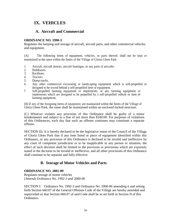# **IX. VEHICLES**

# **A. Aircraft and Commercial**

# **ORDINANCE NO. 1990-3**

Regulates the keeping and storage of aircraft, aircraft parts, and other commercial vehicles and equipment.

(A) The following items of equipment, vehicles, or parts thereof, shall not be kept or maintained in the open within the limits of the Village of Gloria Glens Park:

- 1. Aircraft, aircraft motors, aircraft fuselages, or any parts of aircrafts.
- 2. Bulldozers.
- 3. Backhoes.
- 4. Tractors.
- 5. Dump trucks.
- 6. Any other commercial excavating or landscaping equipment which is self-propelled or designed to be towed behind a self-propelled item of equipment.
- 7. Self-propelled farming equipment or implements, or any farming equipment or implements which are designed to be propelled by a self-propelled vehicle or item of farming equipment.

(B) If any of the foregoing items of equipment are maintained within the limits of the Village of Gloria Glens Park, the same shall be maintained within an enclosed locked structure.

(C) Whoever violates any provision of this Ordinance shall be guilty of a minor misdemeanor and subject to a fine of not more than \$100:00. For purposes of violations of this Ordinances, each day that such an offense continues may constitute a separate offense.

SECTION II**:** It is hereby declared to be the legislative intent of the Council of the Village of Gloria Glens Park that if any item listed or piece of equipment identified within this Ordinance, or any provision of this Ordinance is declared to be invalid and ineffective by any court of competent jurisdiction or to be inapplicable to any person or situation, the effect of such decision shall be limited to the provision or provisions which are expressly stated in the decision to be invalid or ineffective, and all other provisions of this Ordinance shall continue to be separate and fully effective.

# **B. Storage of Motor Vehicles and Parts**

# **ORDINANCE NO. 2001-09**

Regulates storage of motor vehicles *[Amends Ordinance No. 1992-3 and 2000-06*

SECTION I: Ordinance No. 1992-3 and Ordinance No. 2000-06 amending it and setting forth Section 660.07 of the General Offenses Code of the Village are hereby amended and superceded so that Section 660.07 of said Code shall be as set forth in Section II of this Ordinance.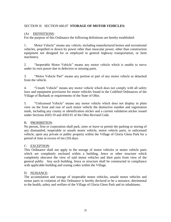# SECTION II: SECTION 660.07 **STORAGE OF MOTOR VEHICLES:**

# (A) DEFINITIONS:

For the purpose of this Ordinance the following definitions are hereby established:

1. Motor Vehicle" means any vehicle, including manufactured homes and recreational vehicles, propelled or drawn by power other than muscular power, other than construction equipment not designed for or employed in general highway transportation, or farm machinery.

2. "Inoperable Motor Vehicle" means any motor vehicle which is unable to move under its own power due to defective or missing parts.

3. "Motor Vehicle Part" means any portion or part of any motor vehicle as detached from the vehicle.

4. "Unsafe Vehicle" means any motor vehicle which does not comply with all safety laws and equipment provisions for motor vehicles found in the Codified Ordinances of the Village of Burbank or requirements of the State of Ohio.

5. "Unlicensed Vehicle" means any motor vehicle which does not display in plain view on the front and rear of such motor vehicle the distinctive number and registration mark, including any county or identification sticker and a current validation sticker issued under Sections 4503.19 and 4503.91 of the Ohio Revised Code.

# B. PROHIBITION:

No person, firm or corporation shall park, store or leave or permit the parking or storing of any dismantled, inoperable or unsafe motor vehicle, motor vehicle parts, or unlicensed vehicle, upon any private or public property within the Village of Gloria Glens Park for a period of time in excess of ten (10) days.

# C. EXCEPTION:

This Ordinance shall not apply to the storage of motor vehicles or motor vehicle parts which are completely enclosed within a building, fence or other structure which completely obscures the view of said motor vehicles and their parts from view of the general public. Any such building, fence or structure shall be constructed in compliance with applicable building and zoning codes within the Village.

# D. NUISANCE:

The accumulation and storage of inoperable motor vehicles, unsafe motor vehicles and motor parts in violation of this Ordinance is hereby declared to be a nuisance, detrimental to the health, safety and welfare of the Village of Gloria Glens Park and its inhabitants.